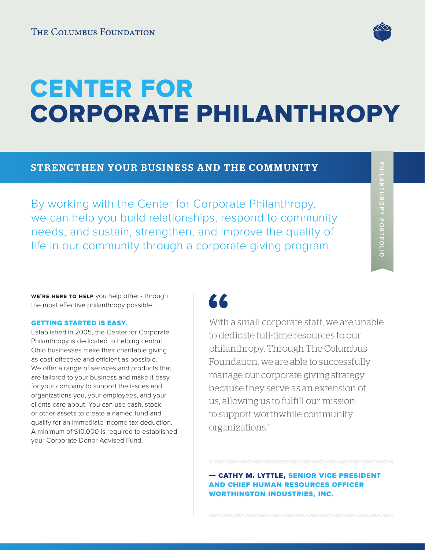

# CENTER FOR CORPORATE PHILANTHROPY

### STRENGTHEN YOUR BUSINESS AND THE COMMUNITY

By working with the Center for Corporate Philanthropy, we can help you build relationships, respond to community needs, and sustain, strengthen, and improve the quality of life in our community through a corporate giving program.

**WE'RE HERE TO HELP** you help others through the most effective philanthropy possible.

#### GETTING STARTED IS EASY.

Established in 2005, the Center for Corporate Philanthropy is dedicated to helping central Ohio businesses make their charitable giving as cost-effective and efficient as possible. We offer a range of services and products that are tailored to your business and make it easy for your company to support the issues and organizations you, your employees, and your clients care about. You can use cash, stock, or other assets to create a named fund and qualify for an immediate income tax deduction. A minimum of \$10,000 is required to established your Corporate Donor Advised Fund.

## 66

With a small corporate staff, we are unable to dedicate full-time resources to our philanthropy. Through The Columbus Foundation, we are able to successfully manage our corporate giving strategy because they serve as an extension of us, allowing us to fulfill our mission: to support worthwhile community organizations."

— cathy m. lyttle, senior vice president and chief human resources officer worthington industries, inc.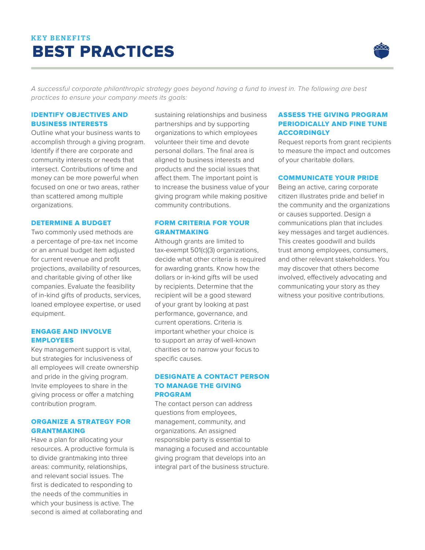## KEY BENEFITS BEST PRACTICES



A successful corporate philanthropic strategy goes beyond having a fund to invest in. The following are best practices to ensure your company meets its goals:

#### IDENTIFY OBJECTIVES AND BUSINESS INTERESTS

Outline what your business wants to accomplish through a giving program. Identify if there are corporate and community interests or needs that intersect. Contributions of time and money can be more powerful when focused on one or two areas, rather than scattered among multiple organizations.

#### DETERMINE A BUDGET

Two commonly used methods are a percentage of pre-tax net income or an annual budget item adjusted for current revenue and profit projections, availability of resources, and charitable giving of other like companies. Evaluate the feasibility of in-kind gifts of products, services, loaned employee expertise, or used equipment.

#### ENGAGE AND INVOLVE EMPLOYEES

Key management support is vital, but strategies for inclusiveness of all employees will create ownership and pride in the giving program. Invite employees to share in the giving process or offer a matching contribution program.

#### ORGANIZE A STRATEGY FOR GRANTMAKING

Have a plan for allocating your resources. A productive formula is to divide grantmaking into three areas: community, relationships, and relevant social issues. The first is dedicated to responding to the needs of the communities in which your business is active. The second is aimed at collaborating and sustaining relationships and business partnerships and by supporting organizations to which employees volunteer their time and devote personal dollars. The final area is aligned to business interests and products and the social issues that affect them. The important point is to increase the business value of your giving program while making positive community contributions.

#### FORM CRITERIA FOR YOUR GRANTMAKING

Although grants are limited to tax-exempt 501(c)(3) organizations, decide what other criteria is required for awarding grants. Know how the dollars or in-kind gifts will be used by recipients. Determine that the recipient will be a good steward of your grant by looking at past performance, governance, and current operations. Criteria is important whether your choice is to support an array of well-known charities or to narrow your focus to specific causes.

#### DESIGNATE A CONTACT PERSON TO MANAGE THE GIVING PROGRAM

The contact person can address questions from employees, management, community, and organizations. An assigned responsible party is essential to managing a focused and accountable giving program that develops into an integral part of the business structure.

#### ASSESS THE GIVING PROGRAM PERIODICALLY AND FINE TUNE **ACCORDINGLY**

Request reports from grant recipients to measure the impact and outcomes of your charitable dollars.

#### COMMUNICATE YOUR PRIDE

Being an active, caring corporate citizen illustrates pride and belief in the community and the organizations or causes supported. Design a communications plan that includes key messages and target audiences. This creates goodwill and builds trust among employees, consumers, and other relevant stakeholders. You may discover that others become involved, effectively advocating and communicating your story as they witness your positive contributions.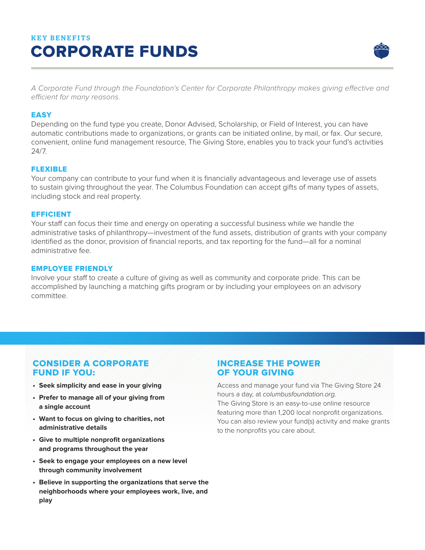## KEY BENEFITS CORPORATE FUNDS



A Corporate Fund through the Foundation's Center for Corporate Philanthropy makes giving effective and efficient for many reasons.

#### **EASY**

Depending on the fund type you create, Donor Advised, Scholarship, or Field of Interest, you can have automatic contributions made to organizations, or grants can be initiated online, by mail, or fax. Our secure, convenient, online fund management resource, The Giving Store, enables you to track your fund's activities 24/7.

#### FLEXIBLE

Your company can contribute to your fund when it is financially advantageous and leverage use of assets to sustain giving throughout the year. The Columbus Foundation can accept gifts of many types of assets, including stock and real property.

#### EFFICIENT

Your staff can focus their time and energy on operating a successful business while we handle the administrative tasks of philanthropy—investment of the fund assets, distribution of grants with your company identified as the donor, provision of financial reports, and tax reporting for the fund—all for a nominal administrative fee.

#### EMPLOYEE FRIENDLY

Involve your staff to create a culture of giving as well as community and corporate pride. This can be accomplished by launching a matching gifts program or by including your employees on an advisory committee.

#### CONSIDER A CORPORATE FUND IF YOU:

- **• Seek simplicity and ease in your giving**
- **• Prefer to manage all of your giving from a single account**
- **• Want to focus on giving to charities, not administrative details**
- **• Give to multiple nonprofit organizations and programs throughout the year**
- **• Seek to engage your employees on a new level through community involvement**
- **• Believe in supporting the organizations that serve the neighborhoods where your employees work, live, and play**

#### INCREASE THE POWER OF YOUR GIVING

Access and manage your fund via The Giving Store 24 hours a day, at columbusfoundation.org. The Giving Store is an easy-to-use online resource featuring more than 1,200 local nonprofit organizations. You can also review your fund(s) activity and make grants to the nonprofits you care about.